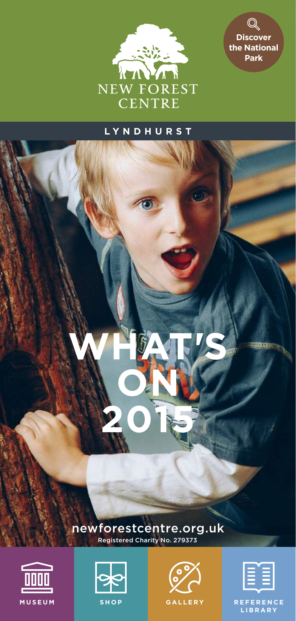



### **LYNDHURST**

newforestcentre.org.uk Registered Charity No. 279373

**WHAT'S** 

**ON**

**2015**







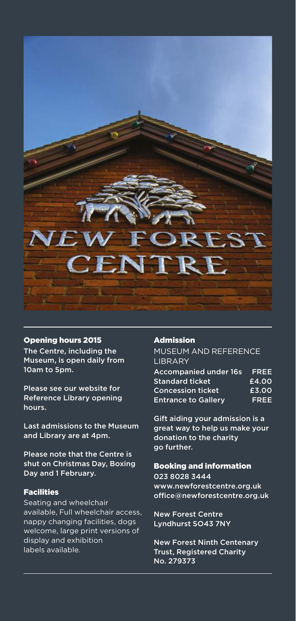

#### Opening hours 2015

The Centre, including the Museum, is open daily from 10am to 5pm.

Please see our website for Reference Library opening hours.

Last admissions to the Museum and Library are at 4pm.

Please note that the Centre is shut on Christmas Day, Boxing Day and 1 February.

#### Facilities

Seating and wheelchair available, Full wheelchair access, nappy changing facilities, dogs welcome, large print versions of display and exhibition labels available.

#### Admission

MUSEUM AND REFERENCE LIBRARY

| <b>Accompanied under 16s</b> | FREE  |
|------------------------------|-------|
| <b>Standard ticket</b>       | £4.00 |
| <b>Concession ticket</b>     | £3.00 |
| <b>Entrance to Gallery</b>   | FREE  |

Gift aiding your admission is a great way to help us make your donation to the charity go further.

#### Booking and information

023 8028 3444 www.newforestcentre.org.uk office@newforestcentre.org.uk

New Forest Centre Lyndhurst SO43 7NY

—2

New Forest Ninth Centenary Trust, Registered Charity No. 279373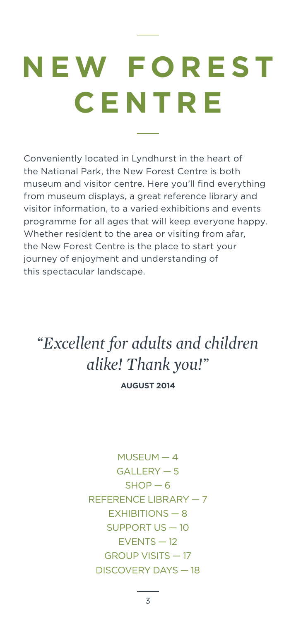# **N E W F O R E S T CENTRE**

Conveniently located in Lyndhurst in the heart of the National Park, the New Forest Centre is both museum and visitor centre. Here you'll find everything from museum displays, a great reference library and visitor information, to a varied exhibitions and events programme for all ages that will keep everyone happy. Whether resident to the area or visiting from afar, the New Forest Centre is the place to start your journey of enjoyment and understanding of this spectacular landscape.

### *Excellent for adults and children alike! Thank you!*

**AUGUST 2014**

MUSEUM — 4 GALLERY — 5  $SHOP - 6$ REFERENCE LIBRARY — 7 EXHIBITIONS — 8 SUPPORT US — 10 EVENTS — 12 GROUP VISITS — 17 DISCOVERY DAYS — 18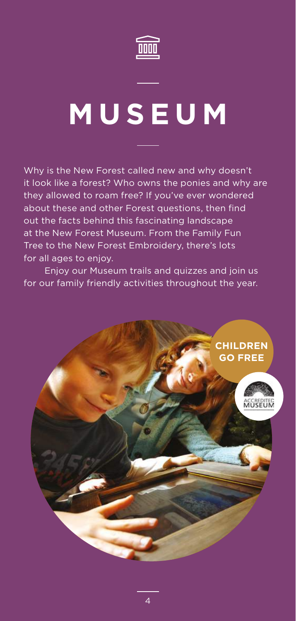

### **MUSEUM**

Why is the New Forest called new and why doesn't it look like a forest? Who owns the ponies and why are they allowed to roam free? If you've ever wondered about these and other Forest questions, then find out the facts behind this fascinating landscape at the New Forest Museum. From the Family Fun Tree to the New Forest Embroidery, there's lots for all ages to enjoy.

Enjoy our Museum trails and quizzes and join us for our family friendly activities throughout the year.

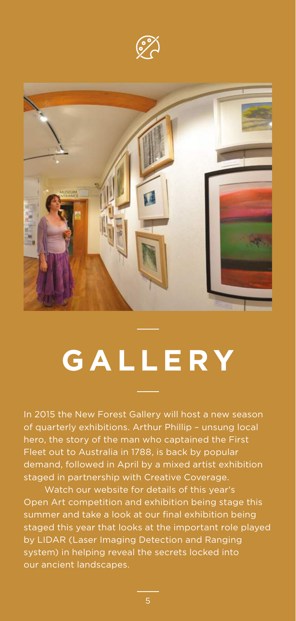



### **GALLERY**

In 2015 the New Forest Gallery will host a new season of quarterly exhibitions. Arthur Phillip – unsung local hero, the story of the man who captained the First Fleet out to Australia in 1788, is back by popular demand, followed in April by a mixed artist exhibition staged in partnership with Creative Coverage.

Watch our website for details of this year's Open Art competition and exhibition being stage this summer and take a look at our final exhibition being staged this year that looks at the important role played by LIDAR (Laser Imaging Detection and Ranging system) in helping reveal the secrets locked into our ancient landscapes.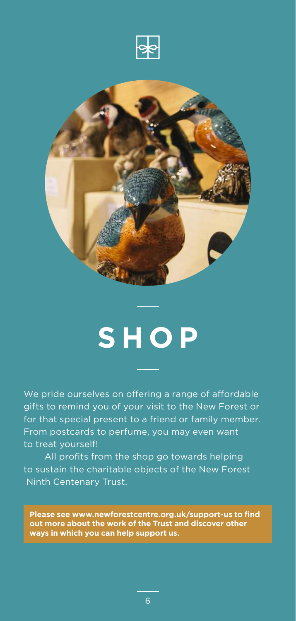



### **SHOP**

We pride ourselves on offering a range of affordable gifts to remind you of your visit to the New Forest or for that special present to a friend or family member. From postcards to perfume, you may even want to treat yourself!

All profits from the shop go towards helping to sustain the charitable objects of the New Forest Ninth Centenary Trust.

**Please see www.newforestcentre.org.uk/support-us to find out more about the work of the Trust and discover other ways in which you can help support us.**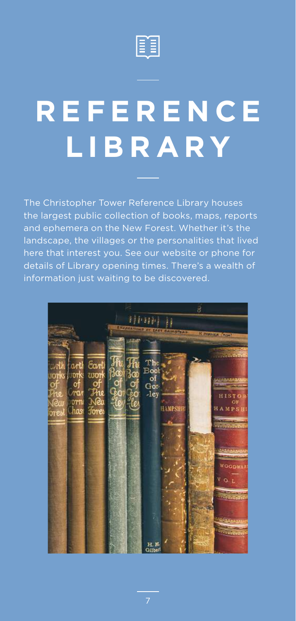

## **R E F E R E N C E LIBRARY**

The Christopher Tower Reference Library houses the largest public collection of books, maps, reports and ephemera on the New Forest. Whether it's the landscape, the villages or the personalities that lived here that interest you. See our website or phone for details of Library opening times. There's a wealth of information just waiting to be discovered.

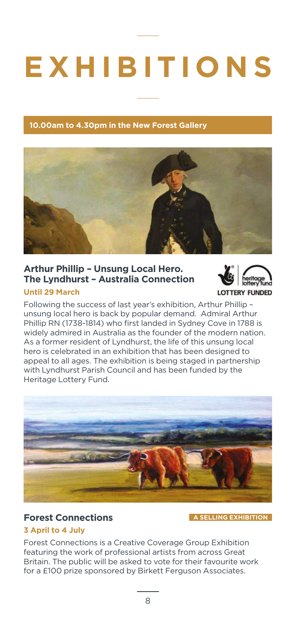## **EXHIBITIONS**

#### **10.00am to 4.30pm in the New Forest Gallery**



#### **Arthur Phillip – Unsung Local Hero. The Lyndhurst – Australia Connection**

#### **Until 29 March**



Following the success of last year's exhibition, Arthur Phillip – unsung local hero is back by popular demand. Admiral Arthur Phillip RN (1738-1814) who first landed in Sydney Cove in 1788 is widely admired in Australia as the founder of the modern nation. As a former resident of Lyndhurst, the life of this unsung local hero is celebrated in an exhibition that has been designed to appeal to all ages. The exhibition is being staged in partnership with Lyndhurst Parish Council and has been funded by the Heritage Lottery Fund.



#### **Forest Connections A SELLING EXHIBITION**

#### **3 April to 4 July**

Forest Connections is a Creative Coverage Group Exhibition featuring the work of professional artists from across Great Britain. The public will be asked to vote for their favourite work for a £100 prize sponsored by Birkett Ferguson Associates.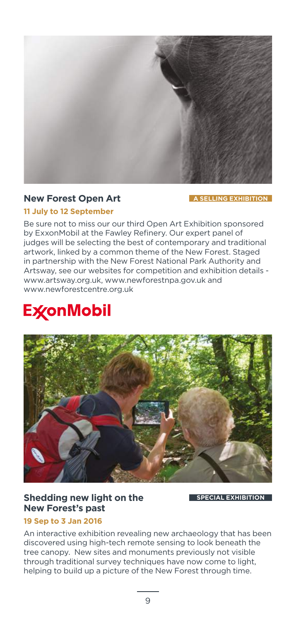

#### **New Forest Open Art A SELLING EXHIBITION**

#### **11 July to 12 September**

Be sure not to miss our our third Open Art Exhibition sponsored by ExxonMobil at the Fawley Refinery. Our expert panel of judges will be selecting the best of contemporary and traditional artwork, linked by a common theme of the New Forest. Staged in partnership with the New Forest National Park Authority and Artsway, see our websites for competition and exhibition details www.artsway.org.uk, www.newforestnpa.gov.uk and www.newforestcentre.org.uk

### **ExconMobil**



#### **Shedding new light on the SPECIAL EXHIBITION New Forest's past**

#### **19 Sep to 3 Jan 2016**

An interactive exhibition revealing new archaeology that has been discovered using high-tech remote sensing to look beneath the tree canopy. New sites and monuments previously not visible through traditional survey techniques have now come to light, helping to build up a picture of the New Forest through time.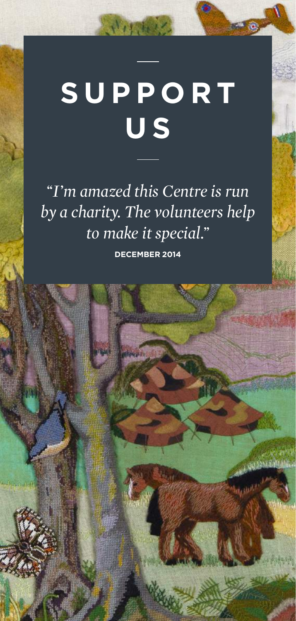# **SUPPORT U S**

 $N_H$  , and  $\mathcal{L}$ 

*I'm amazed this Centre is run by a charity. The volunteers help to make it special.* 

**DECEMBER 2014**

翢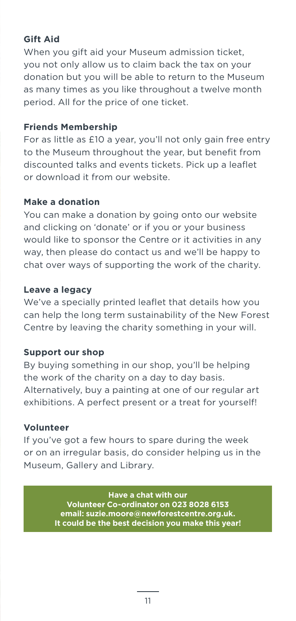### **Gift Aid**

When you gift aid your Museum admission ticket. you not only allow us to claim back the tax on your donation but you will be able to return to the Museum as many times as you like throughout a twelve month period. All for the price of one ticket.

#### **Friends Membership**

For as little as £10 a year, you'll not only gain free entry to the Museum throughout the year, but benefit from discounted talks and events tickets. Pick up a leaflet or download it from our website.

#### **Make a donation**

You can make a donation by going onto our website and clicking on 'donate' or if you or your business would like to sponsor the Centre or it activities in any way, then please do contact us and we'll be happy to chat over ways of supporting the work of the charity.

#### **Leave a legacy**

We've a specially printed leaflet that details how you can help the long term sustainability of the New Forest Centre by leaving the charity something in your will.

#### **Support our shop**

By buying something in our shop, you'll be helping the work of the charity on a day to day basis. Alternatively, buy a painting at one of our regular art exhibitions. A perfect present or a treat for yourself!

#### **Volunteer**

If you've got a few hours to spare during the week or on an irregular basis, do consider helping us in the Museum, Gallery and Library.

> **Have a chat with our Volunteer Co-ordinator on 023 8028 6153 email: suzie.moore@newforestcentre.org.uk. It could be the best decision you make this year!**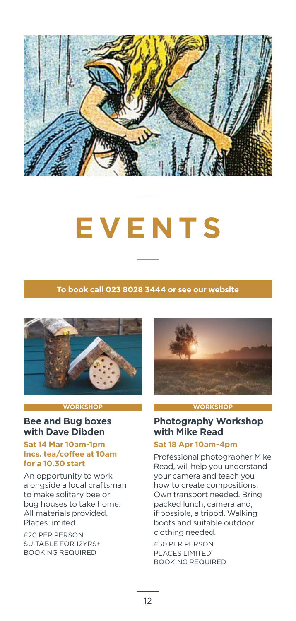

## **EVENTS**

#### **To book call 023 8028 3444 or see our website**



#### **WORKSHOP**

#### **Bee and Bug boxes with Dave Dibden**

#### **Sat 14 Mar 10am-1pm Incs. tea/coffee at 10am for a 10.30 start**

An opportunity to work alongside a local craftsman to make solitary bee or bug houses to take home. All materials provided. Places limited.

£20 PER PERSON SUITABLE FOR 12YRS+ BOOKING REQUIRED



#### **WORKSHOP**

#### **Photography Workshop with Mike Read**

#### **Sat 18 Apr 10am-4pm**

Professional photographer Mike Read, will help you understand your camera and teach you how to create compositions. Own transport needed. Bring packed lunch, camera and, if possible, a tripod. Walking boots and suitable outdoor clothing needed.

£50 PER PERSON PLACES LIMITED BOOKING REQUIRED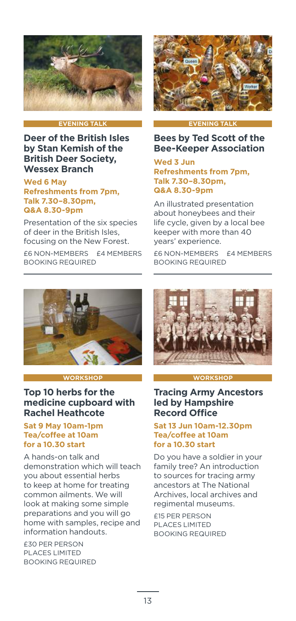

#### **EVENING TALK**

#### **Deer of the British Isles by Stan Kemish of the British Deer Society, Wessex Branch**

#### **Wed 6 May Refreshments from 7pm, Talk 7.30–8.30pm, Q&A 8.30-9pm**

Presentation of the six species of deer in the British Isles, focusing on the New Forest. £6 NON-MEMBERS £4 MEMBERS BOOKING REQUIRED



#### **EVENING TALK**

#### **Bees by Ted Scott of the Bee-Keeper Association**

**Wed 3 Jun Refreshments from 7pm, Talk 7.30–8.30pm, Q&A 8.30-9pm** 

An illustrated presentation about honeybees and their life cycle, given by a local bee keeper with more than 40 years' experience.

£6 NON-MEMBERS £4 MEMBERS BOOKING REQUIRED



#### **WORKSHOP**

#### **Top 10 herbs for the medicine cupboard with Rachel Heathcote**

#### **Sat 9 May 10am-1pm Tea/coffee at 10am for a 10.30 start**

A hands-on talk and demonstration which will teach you about essential herbs to keep at home for treating common ailments. We will look at making some simple preparations and you will go home with samples, recipe and information handouts.

£30 PER PERSON PLACES LIMITED BOOKING REQUIRED



#### **WORKSHOP**

#### **Tracing Army Ancestors led by Hampshire Record Office**

#### **Sat 13 Jun 10am-12.30pm Tea/coffee at 10am for a 10.30 start**

Do you have a soldier in your family tree? An introduction to sources for tracing army ancestors at The National Archives, local archives and regimental museums.

£15 PER PERSON PLACES LIMITED BOOKING REQUIRED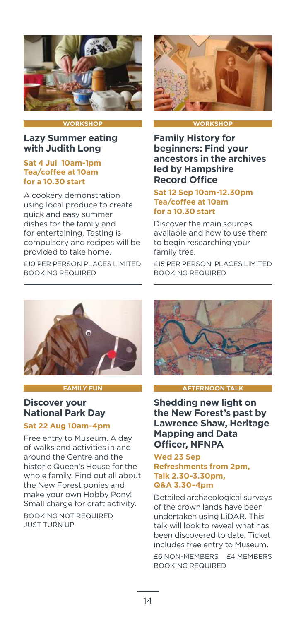

#### **WORKSHO**

#### **Lazy Summer eating with Judith Long**

#### **Sat 4 Jul 10am-1pm Tea/coffee at 10am for a 10.30 start**

A cookery demonstration using local produce to create quick and easy summer dishes for the family and for entertaining. Tasting is compulsory and recipes will be provided to take home.

£10 PER PERSON PLACES LIMITED BOOKING REQUIRED



#### **WORKSHOP**

**Family History for beginners: Find your ancestors in the archives led by Hampshire Record Office**

#### **Sat 12 Sep 10am-12.30pm Tea/coffee at 10am for a 10.30 start**

Discover the main sources available and how to use them to begin researching your family tree.

£15 PER PERSON PLACES LIMITED BOOKING REQUIRED



**FAMILY FUN**

#### **Discover your National Park Day**

#### **Sat 22 Aug 10am-4pm**

Free entry to Museum. A day of walks and activities in and around the Centre and the historic Queen's House for the whole family. Find out all about the New Forest ponies and make your own Hobby Pony! Small charge for craft activity.

BOOKING NOT REQUIRED JUST TURN UP



#### **AFTERNOON TALK**

**Shedding new light on the New Forest's past by Lawrence Shaw, Heritage Mapping and Data Officer, NFNPA**

#### **Wed 23 Sep Refreshments from 2pm, Talk 2.30-3.30pm, Q&A 3.30-4pm**

Detailed archaeological surveys of the crown lands have been undertaken using LiDAR. This talk will look to reveal what has been discovered to date. Ticket includes free entry to Museum.

£6 NON-MEMBERS £4 MEMBERS BOOKING REQUIRED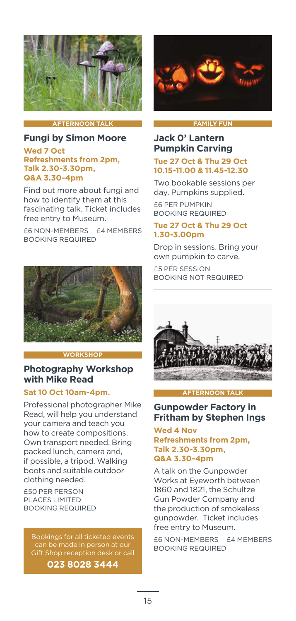

#### **AFTERNOON TALK**

#### **Fungi by Simon Moore**

#### **Wed 7 Oct Refreshments from 2pm, Talk 2.30-3.30pm, Q&A 3.30-4pm**

Find out more about fungi and how to identify them at this fascinating talk. Ticket includes free entry to Museum.

£6 NON-MEMBERS £4 MEMBERS BOOKING REQUIRED



#### **WORKSHO**

#### **Photography Workshop with Mike Read**

#### **Sat 10 Oct 10am-4pm.**

Professional photographer Mike Read, will help you understand your camera and teach you how to create compositions. Own transport needed. Bring packed lunch, camera and, if possible, a tripod. Walking boots and suitable outdoor clothing needed.

£50 PER PERSON PLACES LIMITED BOOKING REQUIRED

Bookings for all ticketed events can be made in person at our Gift Shop reception desk or call

**023 8028 3444**



#### **FAMILY FUN**

#### **Jack 0' Lantern Pumpkin Carving**

#### **Tue 27 Oct & Thu 29 Oct 10.15-11.00 & 11.45-12.30**

Two bookable sessions per day. Pumpkins supplied.

£6 PER PUMPKIN BOOKING REQUIRED

#### **Tue 27 Oct & Thu 29 Oct 1.30-3.00pm**

Drop in sessions. Bring your own pumpkin to carve.

£5 PER SESSION BOOKING NOT REQUIRED



**AFTERNOON TALK**

#### **Gunpowder Factory in Fritham by Stephen Ings**

#### **Wed 4 Nov Refreshments from 2pm, Talk 2.30-3.30pm, Q&A 3.30-4pm**

A talk on the Gunpowder Works at Eyeworth between 1860 and 1821, the Schultze Gun Powder Company and the production of smokeless gunpowder. Ticket includes free entry to Museum.

£6 NON-MEMBERS £4 MEMBERS BOOKING REQUIRED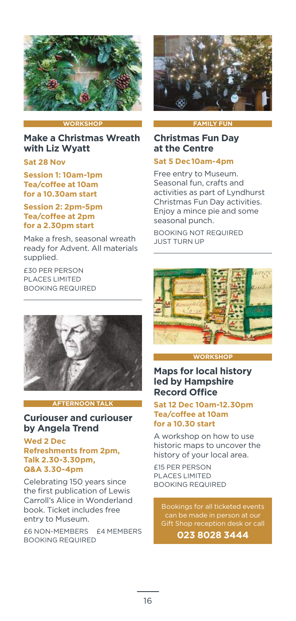

#### **WORKSHOP**

**Make a Christmas Wreath with Liz Wyatt**

#### **Sat 28 Nov**

**Session 1: 10am-1pm Tea/coffee at 10am for a 10.30am start**

#### **Session 2: 2pm-5pm Tea/coffee at 2pm for a 2.30pm start**

Make a fresh, seasonal wreath ready for Advent. All materials supplied.

£30 PER PERSON PLACES LIMITED BOOKING REQUIRED



#### **AFTERNOON TALK**

#### **Curiouser and curiouser by Angela Trend**

#### **Wed 2 Dec Refreshments from 2pm, Talk 2.30-3.30pm, Q&A 3.30-4pm**

Celebrating 150 years since the first publication of Lewis Carroll's Alice in Wonderland book. Ticket includes free entry to Museum.

£6 NON-MEMBERS £4 MEMBERS BOOKING REQUIRED



#### **FAMILY FUN**

#### **Christmas Fun Day at the Centre**

#### **Sat 5 Dec10am-4pm**

Free entry to Museum. Seasonal fun, crafts and activities as part of Lyndhurst Christmas Fun Day activities. Enjoy a mince pie and some seasonal punch.

BOOKING NOT REQUIRED JUST TURN UP



#### **WORKSHOP**

#### **Maps for local history led by Hampshire Record Office**

#### **Sat 12 Dec 10am-12.30pm Tea/coffee at 10am for a 10.30 start**

A workshop on how to use historic maps to uncover the history of your local area.

£15 PER PERSON PLACES LIMITED BOOKING REQUIRED

Bookings for all ticketed events can be made in person at our Gift Shop reception desk or call

**023 8028 3444**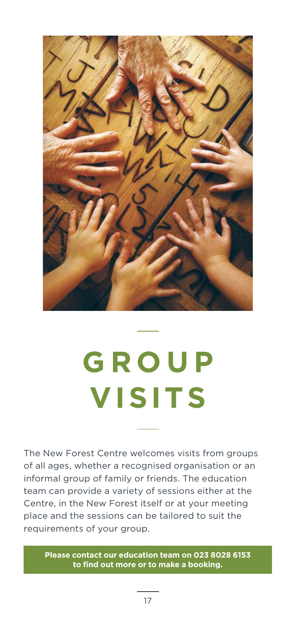

## **G R O U P VISITS**

The New Forest Centre welcomes visits from groups of all ages, whether a recognised organisation or an informal group of family or friends. The education team can provide a variety of sessions either at the Centre, in the New Forest itself or at your meeting place and the sessions can be tailored to suit the requirements of your group.

**Please contact our education team on 023 8028 6153 to find out more or to make a booking.**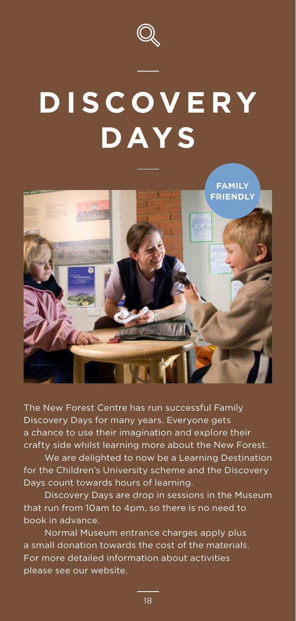

### **DISCOVERY DAYS**



The New Forest Centre has run successful Family Discovery Days for many years. Everyone gets a chance to use their imagination and explore their crafty side whilst learning more about the New Forest.

We are delighted to now be a Learning Destination for the Children's University scheme and the Discovery Days count towards hours of learning.

Discovery Days are drop in sessions in the Museum that run from 10am to 4pm, so there is no need to book in advance.

Normal Museum entrance charges apply plus a small donation towards the cost of the materials. For more detailed information about activities please see our website.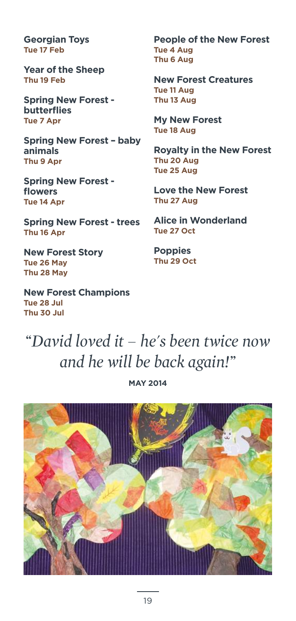**Georgian Toys Tue 17 Feb**

**Year of the Sheep Thu 19 Feb**

**Spring New Forest butterflies Tue 7 Apr**

**Spring New Forest – baby animals Thu 9 Apr**

**Spring New Forest flowers Tue 14 Apr**

**Spring New Forest - trees Thu 16 Apr**

**New Forest Story Tue 26 May Thu 28 May**

**New Forest Champions Tue 28 Jul Thu 30 Jul**

**People of the New Forest Tue 4 Aug Thu 6 Aug**

**New Forest Creatures Tue 11 Aug Thu 13 Aug**

**My New Forest Tue 18 Aug**

**Royalty in the New Forest Thu 20 Aug Tue 25 Aug**

**Love the New Forest Thu 27 Aug**

**Alice in Wonderland Tue 27 Oct**

**Poppies Thu 29 Oct**

### *David loved it – he's been twice now and he will be back again!*

**MAY 2014**